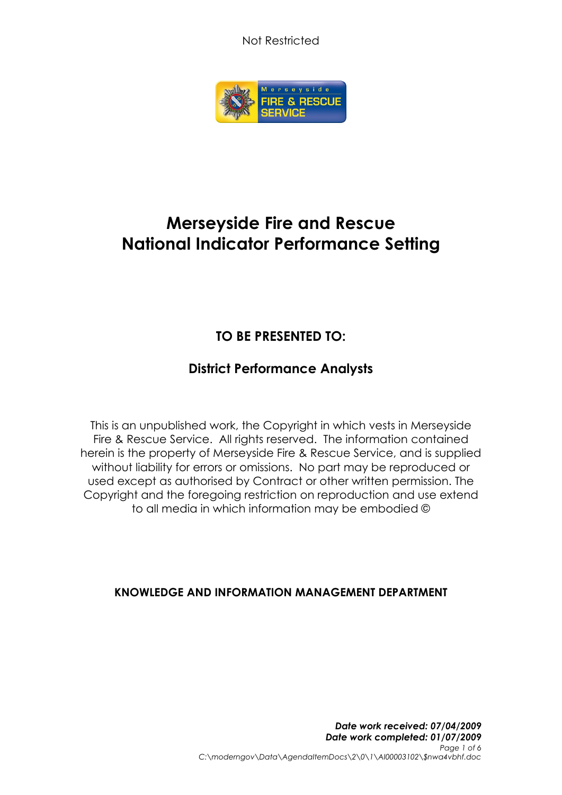Not Restricted



# **Merseyside Fire and Rescue National Indicator Performance Setting**

## **TO BE PRESENTED TO:**

### **District Performance Analysts**

This is an unpublished work, the Copyright in which vests in Merseyside Fire & Rescue Service. All rights reserved. The information contained herein is the property of Merseyside Fire & Rescue Service, and is supplied without liability for errors or omissions. No part may be reproduced or used except as authorised by Contract or other written permission. The Copyright and the foregoing restriction on reproduction and use extend to all media in which information may be embodied ©

### **KNOWLEDGE AND INFORMATION MANAGEMENT DEPARTMENT**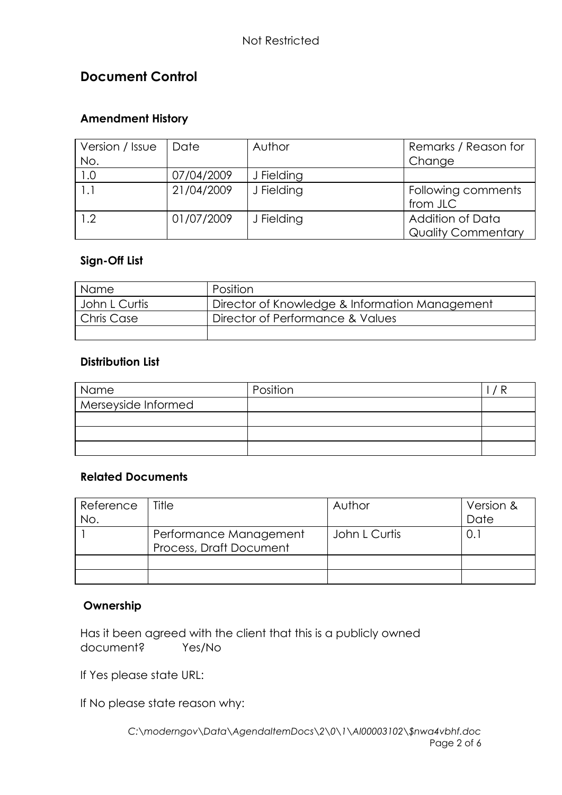### **Document Control**

#### **Amendment History**

| Version / Issue<br>No. | Date       | Author     | Remarks / Reason for<br>Change                |
|------------------------|------------|------------|-----------------------------------------------|
| 1.0                    | 07/04/2009 | J Fielding |                                               |
| 1.1                    | 21/04/2009 | J Fielding | Following comments<br>from JLC                |
| 1.2                    | 01/07/2009 | J Fielding | Addition of Data<br><b>Quality Commentary</b> |

#### **Sign-Off List**

| <b>Name</b>   | Position                                       |
|---------------|------------------------------------------------|
| John L Curtis | Director of Knowledge & Information Management |
| Chris Case    | Director of Performance & Values               |
|               |                                                |

#### **Distribution List**

| Name                | Position |  |
|---------------------|----------|--|
| Merseyside Informed |          |  |
|                     |          |  |
|                     |          |  |
|                     |          |  |

#### **Related Documents**

| Reference | Title                   | Author        | Version & |
|-----------|-------------------------|---------------|-----------|
| No.       |                         |               | Date      |
|           | Performance Management  | John L Curtis | 0.        |
|           | Process, Draft Document |               |           |
|           |                         |               |           |
|           |                         |               |           |

#### **Ownership**

Has it been agreed with the client that this is a publicly owned document? Yes/No

If Yes please state URL:

If No please state reason why: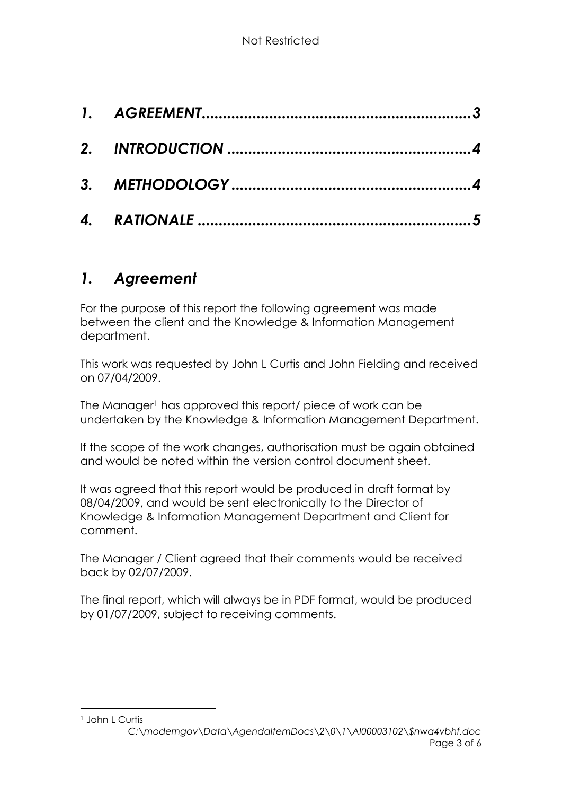## <span id="page-2-0"></span>*1. Agreement*

For the purpose of this report the following agreement was made between the client and the Knowledge & Information Management department.

This work was requested by John L Curtis and John Fielding and received on 07/04/2009.

The Manager<sup>1</sup> has approved this report/ piece of work can be undertaken by the Knowledge & Information Management Department.

If the scope of the work changes, authorisation must be again obtained and would be noted within the version control document sheet.

It was agreed that this report would be produced in draft format by 08/04/2009, and would be sent electronically to the Director of Knowledge & Information Management Department and Client for comment.

The Manager / Client agreed that their comments would be received back by 02/07/2009.

The final report, which will always be in PDF format, would be produced by 01/07/2009, subject to receiving comments.

<sup>1</sup> John L Curtis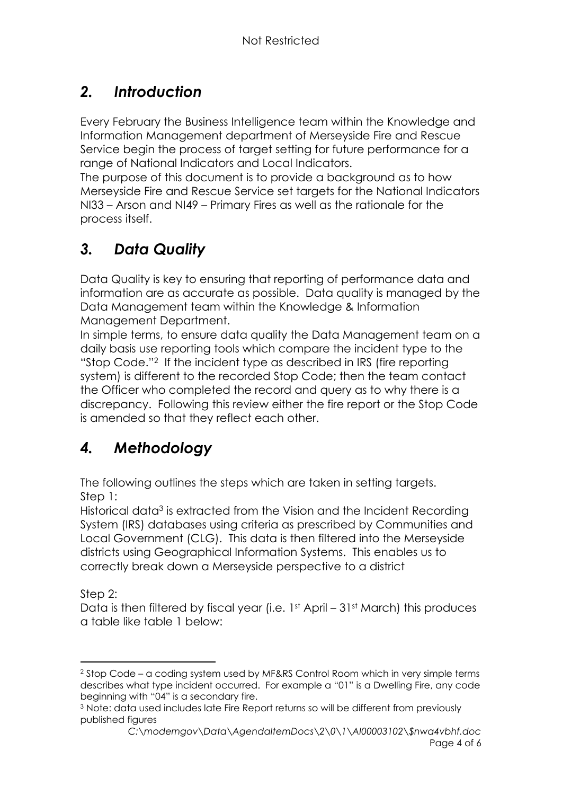## <span id="page-3-0"></span>*2. Introduction*

Every February the Business Intelligence team within the Knowledge and Information Management department of Merseyside Fire and Rescue Service begin the process of target setting for future performance for a range of National Indicators and Local Indicators.

The purpose of this document is to provide a background as to how Merseyside Fire and Rescue Service set targets for the National Indicators NI33 – Arson and NI49 – Primary Fires as well as the rationale for the process itself.

# *3. Data Quality*

Data Quality is key to ensuring that reporting of performance data and information are as accurate as possible. Data quality is managed by the Data Management team within the Knowledge & Information Management Department.

In simple terms, to ensure data quality the Data Management team on a daily basis use reporting tools which compare the incident type to the "Stop Code."<sup>2</sup> If the incident type as described in IRS (fire reporting system) is different to the recorded Stop Code; then the team contact the Officer who completed the record and query as to why there is a discrepancy. Following this review either the fire report or the Stop Code is amended so that they reflect each other.

# <span id="page-3-1"></span>*4. Methodology*

The following outlines the steps which are taken in setting targets. Step 1:

Historical data<sup>3</sup> is extracted from the Vision and the Incident Recording System (IRS) databases using criteria as prescribed by Communities and Local Government (CLG). This data is then filtered into the Merseyside districts using Geographical Information Systems. This enables us to correctly break down a Merseyside perspective to a district

Step 2:

Data is then filtered by fiscal year (i.e. 1st April – 31st March) this produces a table like table 1 below:

<sup>2</sup> Stop Code – a coding system used by MF&RS Control Room which in very simple terms describes what type incident occurred. For example a "01" is a Dwelling Fire, any code beginning with "04" is a secondary fire.

<sup>3</sup> Note: data used includes late Fire Report returns so will be different from previously published figures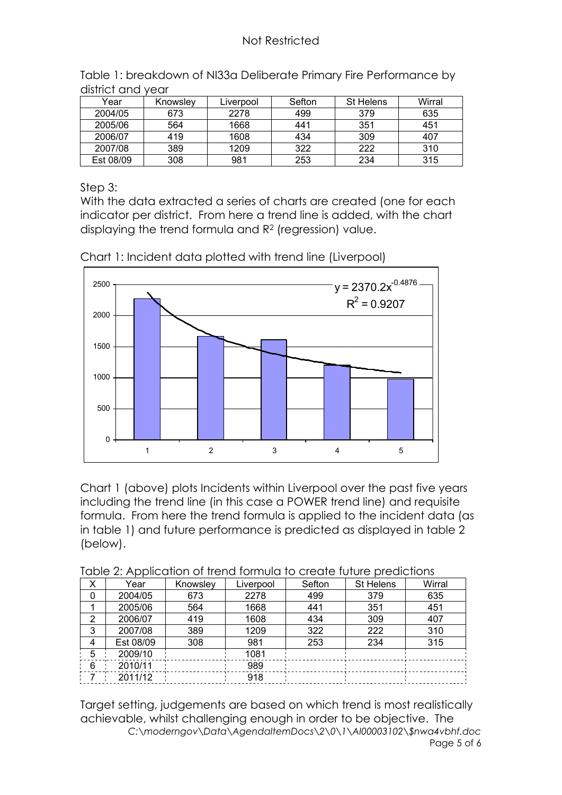| Year      | Knowsley | Liverpool | Sefton | St Helens | Wirral |
|-----------|----------|-----------|--------|-----------|--------|
| 2004/05   | 673      | 2278      | 499    | 379       | 635    |
| 2005/06   | 564      | 1668      | 441    | 351       | 451    |
| 2006/07   | 419      | 1608      | 434    | 309       | 407    |
| 2007/08   | 389      | 1209      | 322    | 222       | 310    |
| Est 08/09 | 308      | 981       | 253    | 234       | 315    |

Table 1: breakdown of NI33a Deliberate Primary Fire Performance by district and year

Step 3:

With the data extracted a series of charts are created (one for each indicator per district. From here a trend line is added, with the chart displaying the trend formula and R<sup>2</sup> (regression) value.



Chart 1: Incident data plotted with trend line (Liverpool)

Chart 1 (above) plots Incidents within Liverpool over the past five years including the trend line (in this case a POWER trend line) and requisite formula. From here the trend formula is applied to the incident data (as in table 1) and future performance is predicted as displayed in table 2 (below).

| Table 2. Application of fronta formula to croate forbite prodictions |           |          |           |        |           |        |
|----------------------------------------------------------------------|-----------|----------|-----------|--------|-----------|--------|
| x                                                                    | Year      | Knowsley | Liverpool | Sefton | St Helens | Wirral |
| 0                                                                    | 2004/05   | 673      | 2278      | 499    | 379       | 635    |
|                                                                      | 2005/06   | 564      | 1668      | 441    | 351       | 451    |
| 2                                                                    | 2006/07   | 419      | 1608      | 434    | 309       | 407    |
| 3                                                                    | 2007/08   | 389      | 1209      | 322    | 222       | 310    |
| 4                                                                    | Est 08/09 | 308      | 981       | 253    | 234       | 315    |
| 5                                                                    | 2009/10   |          | 1081      |        |           |        |
| - 6                                                                  | 2010/11   |          | 989       |        |           |        |
|                                                                      | 2011/12   |          | 918       |        |           |        |

Table 2: Application of trend formula to create future predictions

*C:\moderngov\Data\AgendaItemDocs\2\0\1\AI00003102\\$nwa4vbhf.doc* Page 5 of 6 Target setting, judgements are based on which trend is most realistically achievable, whilst challenging enough in order to be objective. The